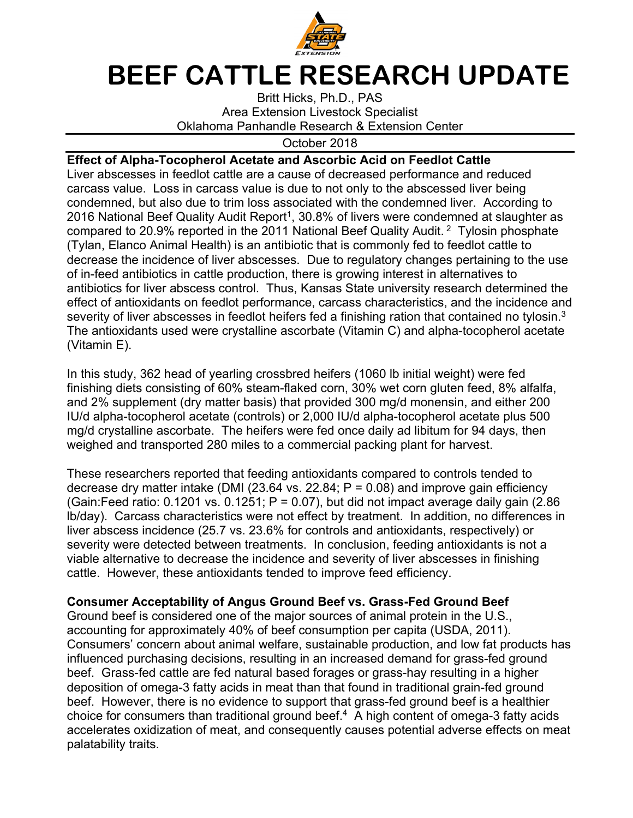

## **BEEF CATTLE RESEARCH UPDATE**

Britt Hicks, Ph.D., PAS Area Extension Livestock Specialist Oklahoma Panhandle Research & Extension Center

October 2018

## **Effect of Alpha-Tocopherol Acetate and Ascorbic Acid on Feedlot Cattle**

Liver abscesses in feedlot cattle are a cause of decreased performance and reduced carcass value. Loss in carcass value is due to not only to the abscessed liver being condemned, but also due to trim loss associated with the condemned liver. According to 2016 National Beef Quality Audit Report<sup>1</sup>, 30.8% of livers were condemned at slaughter as compared to 20.9% reported in the 2011 National Beef Quality Audit. 2 Tylosin phosphate (Tylan, Elanco Animal Health) is an antibiotic that is commonly fed to feedlot cattle to decrease the incidence of liver abscesses. Due to regulatory changes pertaining to the use of in-feed antibiotics in cattle production, there is growing interest in alternatives to antibiotics for liver abscess control. Thus, Kansas State university research determined the effect of antioxidants on feedlot performance, carcass characteristics, and the incidence and severity of liver abscesses in feedlot heifers fed a finishing ration that contained no tylosin.<sup>3</sup> The antioxidants used were crystalline ascorbate (Vitamin C) and alpha-tocopherol acetate (Vitamin E).

In this study, 362 head of yearling crossbred heifers (1060 lb initial weight) were fed finishing diets consisting of 60% steam-flaked corn, 30% wet corn gluten feed, 8% alfalfa, and 2% supplement (dry matter basis) that provided 300 mg/d monensin, and either 200 IU/d alpha-tocopherol acetate (controls) or 2,000 IU/d alpha-tocopherol acetate plus 500 mg/d crystalline ascorbate. The heifers were fed once daily ad libitum for 94 days, then weighed and transported 280 miles to a commercial packing plant for harvest.

These researchers reported that feeding antioxidants compared to controls tended to decrease dry matter intake (DMI (23.64 vs. 22.84;  $P = 0.08$ ) and improve gain efficiency (Gain:Feed ratio:  $0.1201$  vs.  $0.1251$ ;  $P = 0.07$ ), but did not impact average daily gain (2.86 lb/day). Carcass characteristics were not effect by treatment. In addition, no differences in liver abscess incidence (25.7 vs. 23.6% for controls and antioxidants, respectively) or severity were detected between treatments. In conclusion, feeding antioxidants is not a viable alternative to decrease the incidence and severity of liver abscesses in finishing cattle. However, these antioxidants tended to improve feed efficiency.

## **Consumer Acceptability of Angus Ground Beef vs. Grass-Fed Ground Beef**

Ground beef is considered one of the major sources of animal protein in the U.S., accounting for approximately 40% of beef consumption per capita (USDA, 2011). Consumers' concern about animal welfare, sustainable production, and low fat products has influenced purchasing decisions, resulting in an increased demand for grass-fed ground beef. Grass-fed cattle are fed natural based forages or grass-hay resulting in a higher deposition of omega-3 fatty acids in meat than that found in traditional grain-fed ground beef. However, there is no evidence to support that grass-fed ground beef is a healthier choice for consumers than traditional ground beef.<sup>4</sup> A high content of omega-3 fatty acids accelerates oxidization of meat, and consequently causes potential adverse effects on meat palatability traits.